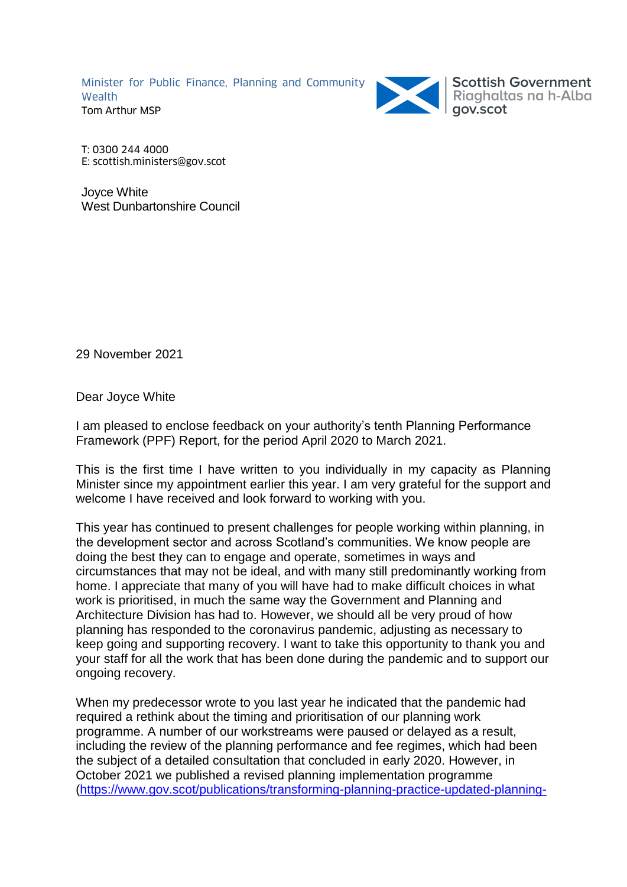Minister for Public Finance, Planning and Community Wealth Tom Arthur MSP



T: 0300 244 4000 E: scottish.ministers@gov.scot

Joyce White West Dunbartonshire Council

29 November 2021

Dear Joyce White

I am pleased to enclose feedback on your authority's tenth Planning Performance Framework (PPF) Report, for the period April 2020 to March 2021.

This is the first time I have written to you individually in my capacity as Planning Minister since my appointment earlier this year. I am very grateful for the support and welcome I have received and look forward to working with you.

This year has continued to present challenges for people working within planning, in the development sector and across Scotland's communities. We know people are doing the best they can to engage and operate, sometimes in ways and circumstances that may not be ideal, and with many still predominantly working from home. I appreciate that many of you will have had to make difficult choices in what work is prioritised, in much the same way the Government and Planning and Architecture Division has had to. However, we should all be very proud of how planning has responded to the coronavirus pandemic, adjusting as necessary to keep going and supporting recovery. I want to take this opportunity to thank you and your staff for all the work that has been done during the pandemic and to support our ongoing recovery.

When my predecessor wrote to you last year he indicated that the pandemic had required a rethink about the timing and prioritisation of our planning work programme. A number of our workstreams were paused or delayed as a result, including the review of the planning performance and fee regimes, which had been the subject of a detailed consultation that concluded in early 2020. However, in October 2021 we published a revised planning implementation programme [\(https://www.gov.scot/publications/transforming-planning-practice-updated-planning-](https://www.gov.scot/publications/transforming-planning-practice-updated-planning-reform-implementation-programme/)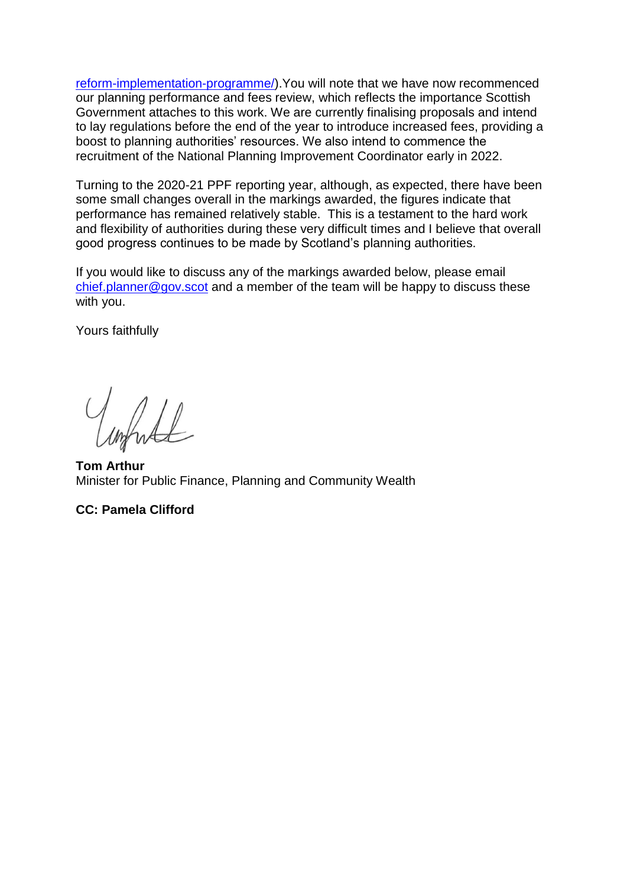[reform-implementation-programme/\)](https://www.gov.scot/publications/transforming-planning-practice-updated-planning-reform-implementation-programme/).You will note that we have now recommenced our planning performance and fees review, which reflects the importance Scottish Government attaches to this work. We are currently finalising proposals and intend to lay regulations before the end of the year to introduce increased fees, providing a boost to planning authorities' resources. We also intend to commence the recruitment of the National Planning Improvement Coordinator early in 2022.

Turning to the 2020-21 PPF reporting year, although, as expected, there have been some small changes overall in the markings awarded, the figures indicate that performance has remained relatively stable. This is a testament to the hard work and flexibility of authorities during these very difficult times and I believe that overall good progress continues to be made by Scotland's planning authorities.

If you would like to discuss any of the markings awarded below, please email [chief.planner@gov.scot](mailto:chief.planner@gov.scot) and a member of the team will be happy to discuss these with you.

Yours faithfully

what

**Tom Arthur** Minister for Public Finance, Planning and Community Wealth

## **CC: Pamela Clifford**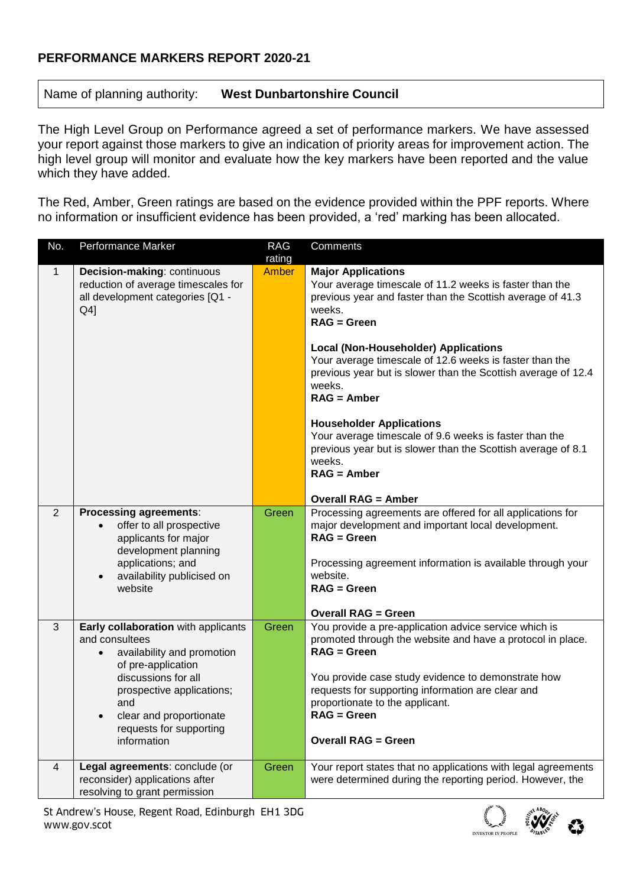## **PERFORMANCE MARKERS REPORT 2020-21**

# Name of planning authority: **West Dunbartonshire Council**

The High Level Group on Performance agreed a set of performance markers. We have assessed your report against those markers to give an indication of priority areas for improvement action. The high level group will monitor and evaluate how the key markers have been reported and the value which they have added.

The Red, Amber, Green ratings are based on the evidence provided within the PPF reports. Where no information or insufficient evidence has been provided, a 'red' marking has been allocated.

| No.            | <b>Performance Marker</b>                                                                                                                                                                                                                              | <b>RAG</b><br>rating | Comments                                                                                                                                                                                                                                                                                                                                                                                                                                                                                                                                                                    |  |  |  |
|----------------|--------------------------------------------------------------------------------------------------------------------------------------------------------------------------------------------------------------------------------------------------------|----------------------|-----------------------------------------------------------------------------------------------------------------------------------------------------------------------------------------------------------------------------------------------------------------------------------------------------------------------------------------------------------------------------------------------------------------------------------------------------------------------------------------------------------------------------------------------------------------------------|--|--|--|
| $\mathbf{1}$   | Decision-making: continuous<br>Amber<br>reduction of average timescales for<br>all development categories [Q1 -<br>Q4]                                                                                                                                 |                      | <b>Major Applications</b><br>Your average timescale of 11.2 weeks is faster than the<br>previous year and faster than the Scottish average of 41.3<br>weeks.<br>$RAG = Green$<br><b>Local (Non-Householder) Applications</b><br>Your average timescale of 12.6 weeks is faster than the<br>previous year but is slower than the Scottish average of 12.4<br>weeks.<br>$RAG =$ Amber<br><b>Householder Applications</b><br>Your average timescale of 9.6 weeks is faster than the<br>previous year but is slower than the Scottish average of 8.1<br>weeks.<br>$RAG =$ Amber |  |  |  |
| $\overline{2}$ | <b>Processing agreements:</b><br>offer to all prospective<br>$\bullet$<br>applicants for major<br>development planning<br>applications; and<br>availability publicised on<br>$\bullet$<br>website                                                      | Green                | <b>Overall RAG = Amber</b><br>Processing agreements are offered for all applications for<br>major development and important local development.<br>$RAG = Green$<br>Processing agreement information is available through your<br>website.<br>$RAG = Green$<br><b>Overall RAG = Green</b>                                                                                                                                                                                                                                                                                    |  |  |  |
| $\mathfrak{B}$ | Early collaboration with applicants<br>and consultees<br>availability and promotion<br>$\bullet$<br>of pre-application<br>discussions for all<br>prospective applications;<br>and<br>clear and proportionate<br>requests for supporting<br>information | Green                | You provide a pre-application advice service which is<br>promoted through the website and have a protocol in place.<br>$RAG = Green$<br>You provide case study evidence to demonstrate how<br>requests for supporting information are clear and<br>proportionate to the applicant.<br>$RAG = Green$<br><b>Overall RAG = Green</b>                                                                                                                                                                                                                                           |  |  |  |
| $\overline{4}$ | Legal agreements: conclude (or<br>reconsider) applications after<br>resolving to grant permission                                                                                                                                                      | Green                | Your report states that no applications with legal agreements<br>were determined during the reporting period. However, the                                                                                                                                                                                                                                                                                                                                                                                                                                                  |  |  |  |

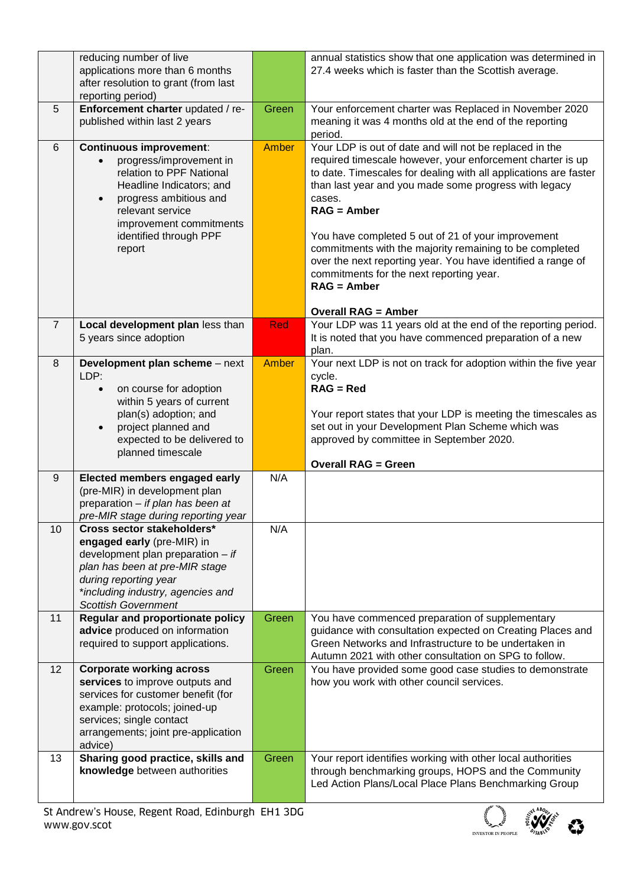|                  | reducing number of live<br>applications more than 6 months<br>after resolution to grant (from last<br>reporting period)                                                                                                                                  |       | annual statistics show that one application was determined in<br>27.4 weeks which is faster than the Scottish average.                                                                                                                                                                                                                                                                                                                                                                                                                                    |  |  |  |
|------------------|----------------------------------------------------------------------------------------------------------------------------------------------------------------------------------------------------------------------------------------------------------|-------|-----------------------------------------------------------------------------------------------------------------------------------------------------------------------------------------------------------------------------------------------------------------------------------------------------------------------------------------------------------------------------------------------------------------------------------------------------------------------------------------------------------------------------------------------------------|--|--|--|
| 5                | Enforcement charter updated / re-<br>published within last 2 years                                                                                                                                                                                       | Green | Your enforcement charter was Replaced in November 2020<br>meaning it was 4 months old at the end of the reporting<br>period.                                                                                                                                                                                                                                                                                                                                                                                                                              |  |  |  |
| 6                | <b>Continuous improvement:</b><br>progress/improvement in<br>$\bullet$<br>relation to PPF National<br>Headline Indicators; and<br>progress ambitious and<br>$\bullet$<br>relevant service<br>improvement commitments<br>identified through PPF<br>report | Amber | Your LDP is out of date and will not be replaced in the<br>required timescale however, your enforcement charter is up<br>to date. Timescales for dealing with all applications are faster<br>than last year and you made some progress with legacy<br>cases.<br>$RAG =$ Amber<br>You have completed 5 out of 21 of your improvement<br>commitments with the majority remaining to be completed<br>over the next reporting year. You have identified a range of<br>commitments for the next reporting year.<br>$RAG =$ Amber<br><b>Overall RAG = Amber</b> |  |  |  |
| $\overline{7}$   | Local development plan less than<br>5 years since adoption                                                                                                                                                                                               | Red   | Your LDP was 11 years old at the end of the reporting period.<br>It is noted that you have commenced preparation of a new<br>plan.                                                                                                                                                                                                                                                                                                                                                                                                                        |  |  |  |
| 8                | Development plan scheme - next<br>LDP:<br>on course for adoption<br>$\bullet$<br>within 5 years of current<br>plan(s) adoption; and<br>project planned and<br>$\bullet$<br>expected to be delivered to<br>planned timescale                              | Amber | Your next LDP is not on track for adoption within the five year<br>cycle.<br>$RAG = Red$<br>Your report states that your LDP is meeting the timescales as<br>set out in your Development Plan Scheme which was<br>approved by committee in September 2020.<br><b>Overall RAG = Green</b>                                                                                                                                                                                                                                                                  |  |  |  |
| $\boldsymbol{9}$ | Elected members engaged early<br>(pre-MIR) in development plan<br>preparation - if plan has been at<br>pre-MIR stage during reporting year                                                                                                               | N/A   |                                                                                                                                                                                                                                                                                                                                                                                                                                                                                                                                                           |  |  |  |
| 10               | Cross sector stakeholders*<br>engaged early (pre-MIR) in<br>development plan preparation $-$ if<br>plan has been at pre-MIR stage<br>during reporting year<br>*including industry, agencies and<br><b>Scottish Government</b>                            | N/A   |                                                                                                                                                                                                                                                                                                                                                                                                                                                                                                                                                           |  |  |  |
| 11               | <b>Regular and proportionate policy</b><br>advice produced on information<br>required to support applications.                                                                                                                                           | Green | You have commenced preparation of supplementary<br>guidance with consultation expected on Creating Places and<br>Green Networks and Infrastructure to be undertaken in<br>Autumn 2021 with other consultation on SPG to follow.                                                                                                                                                                                                                                                                                                                           |  |  |  |
| 12               | <b>Corporate working across</b><br>services to improve outputs and<br>services for customer benefit (for<br>example: protocols; joined-up<br>services; single contact<br>arrangements; joint pre-application<br>advice)                                  | Green | You have provided some good case studies to demonstrate<br>how you work with other council services.                                                                                                                                                                                                                                                                                                                                                                                                                                                      |  |  |  |
| 13               | Sharing good practice, skills and<br>knowledge between authorities                                                                                                                                                                                       | Green | Your report identifies working with other local authorities<br>through benchmarking groups, HOPS and the Community<br>Led Action Plans/Local Place Plans Benchmarking Group                                                                                                                                                                                                                                                                                                                                                                               |  |  |  |

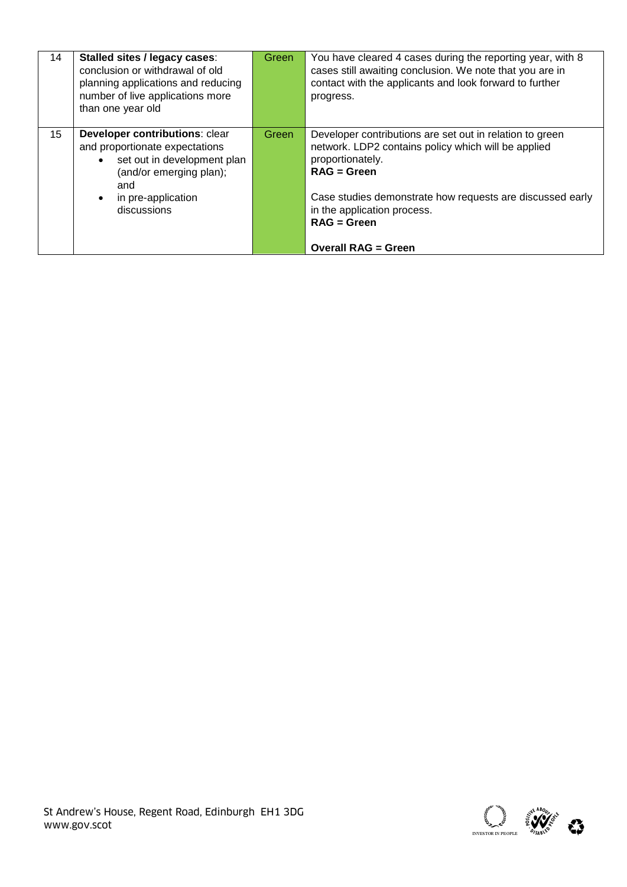| 14 | Stalled sites / legacy cases:<br>Green<br>conclusion or withdrawal of old<br>planning applications and reducing<br>number of live applications more<br>than one year old                         |       | You have cleared 4 cases during the reporting year, with 8<br>cases still awaiting conclusion. We note that you are in<br>contact with the applicants and look forward to further<br>progress.                                                                    |
|----|--------------------------------------------------------------------------------------------------------------------------------------------------------------------------------------------------|-------|-------------------------------------------------------------------------------------------------------------------------------------------------------------------------------------------------------------------------------------------------------------------|
| 15 | Developer contributions: clear<br>and proportionate expectations<br>set out in development plan<br>$\bullet$<br>(and/or emerging plan);<br>and<br>in pre-application<br>$\bullet$<br>discussions | Green | Developer contributions are set out in relation to green<br>network. LDP2 contains policy which will be applied<br>proportionately.<br>$RAG = Green$<br>Case studies demonstrate how requests are discussed early<br>in the application process.<br>$RAG = Green$ |
|    |                                                                                                                                                                                                  |       | <b>Overall RAG = Green</b>                                                                                                                                                                                                                                        |